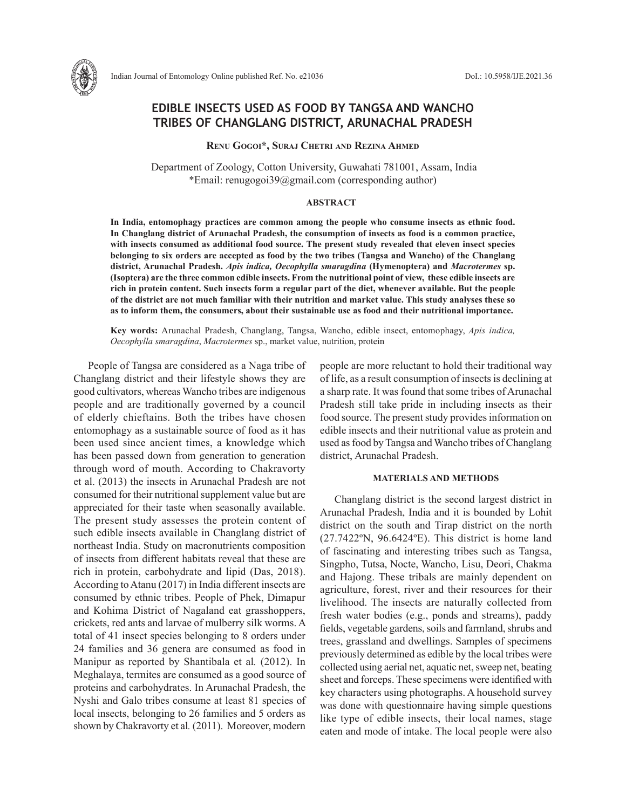

# **EDIBLE INSECTS USED AS FOOD BY TANGSA AND WANCHO TRIBES OF CHANGLANG DISTRICT, ARUNACHAL PRADESH**

**Renu Gogoi\*, Suraj Chetri and Rezina Ahmed**

 Department of Zoology, Cotton University, Guwahati 781001, Assam, India \*Email: renugogoi39@gmail.com (corresponding author)

#### **ABSTRACT**

**In India, entomophagy practices are common among the people who consume insects as ethnic food. In Changlang district of Arunachal Pradesh, the consumption of insects as food is a common practice, with insects consumed as additional food source. The present study revealed that eleven insect species belonging to six orders are accepted as food by the two tribes (Tangsa and Wancho) of the Changlang district, Arunachal Pradesh.** *Apis indica, Oecophylla smaragdina* **(Hymenoptera) and** *Macrotermes* **sp. (Isoptera) are the three common edible insects. From the nutritional point of view, these edible insects are rich in protein content. Such insects form a regular part of the diet, whenever available. But the people of the district are not much familiar with their nutrition and market value. This study analyses these so as to inform them, the consumers, about their sustainable use as food and their nutritional importance.**

**Key words:** Arunachal Pradesh, Changlang, Tangsa, Wancho, edible insect, entomophagy, *Apis indica, Oecophylla smaragdina*, *Macrotermes* sp., market value, nutrition, protein

People of Tangsa are considered as a Naga tribe of Changlang district and their lifestyle shows they are good cultivators, whereas Wancho tribes are indigenous people and are traditionally governed by a council of elderly chieftains. Both the tribes have chosen entomophagy as a sustainable source of food as it has been used since ancient times, a knowledge which has been passed down from generation to generation through word of mouth. According to Chakravorty et al. (2013) the insects in Arunachal Pradesh are not consumed for their nutritional supplement value but are appreciated for their taste when seasonally available. The present study assesses the protein content of such edible insects available in Changlang district of northeast India. Study on macronutrients composition of insects from different habitats reveal that these are rich in protein, carbohydrate and lipid (Das, 2018). According to Atanu (2017) in India different insects are consumed by ethnic tribes. People of Phek, Dimapur and Kohima District of Nagaland eat grasshoppers, crickets, red ants and larvae of mulberry silk worms. A total of 41 insect species belonging to 8 orders under 24 families and 36 genera are consumed as food in Manipur as reported by Shantibala et al*.* (2012). In Meghalaya, termites are consumed as a good source of proteins and carbohydrates. In Arunachal Pradesh, the Nyshi and Galo tribes consume at least 81 species of local insects, belonging to 26 families and 5 orders as shown by Chakravorty et al*.* (2011). Moreover, modern people are more reluctant to hold their traditional way of life, as a result consumption of insects is declining at a sharp rate. It was found that some tribes of Arunachal Pradesh still take pride in including insects as their food source. The present study provides information on edible insects and their nutritional value as protein and used as food by Tangsa and Wancho tribes of Changlang district, Arunachal Pradesh.

# **MATERIALS AND METHODS**

Changlang district is the second largest district in Arunachal Pradesh, India and it is bounded by Lohit district on the south and Tirap district on the north (27.7422ºN, 96.6424ºE). This district is home land of fascinating and interesting tribes such as Tangsa, Singpho, Tutsa, Nocte, Wancho, Lisu, Deori, Chakma and Hajong. These tribals are mainly dependent on agriculture, forest, river and their resources for their livelihood. The insects are naturally collected from fresh water bodies (e.g., ponds and streams), paddy fields, vegetable gardens, soils and farmland, shrubs and trees, grassland and dwellings. Samples of specimens previously determined as edible by the local tribes were collected using aerial net, aquatic net, sweep net, beating sheet and forceps. These specimens were identified with key characters using photographs. A household survey was done with questionnaire having simple questions like type of edible insects, their local names, stage eaten and mode of intake. The local people were also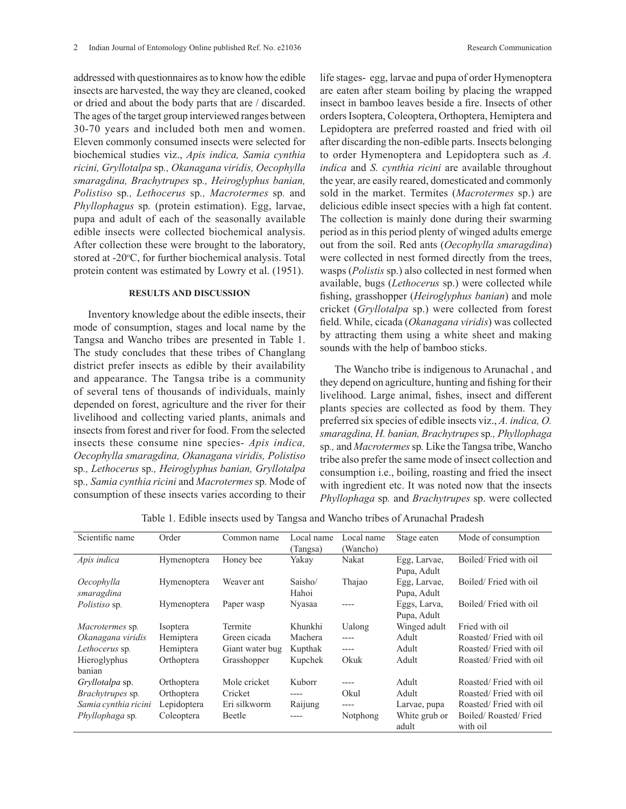addressed with questionnaires as to know how the edible insects are harvested, the way they are cleaned, cooked or dried and about the body parts that are / discarded. The ages of the target group interviewed ranges between 30-70 years and included both men and women. Eleven commonly consumed insects were selected for biochemical studies viz., *Apis indica, Samia cynthia ricini, Gryllotalpa* sp*., Okanagana viridis, Oecophylla smaragdina, Brachytrupes* sp*., Heiroglyphus banian, Polistiso* sp*., Lethocerus* sp*., Macrotermes* sp*.* and *Phyllophagus* sp*.* (protein estimation). Egg, larvae, pupa and adult of each of the seasonally available edible insects were collected biochemical analysis. After collection these were brought to the laboratory, stored at -20°C, for further biochemical analysis. Total protein content was estimated by Lowry et al. (1951).

## **RESULTS AND DISCUSSION**

Inventory knowledge about the edible insects, their mode of consumption, stages and local name by the Tangsa and Wancho tribes are presented in Table 1. The study concludes that these tribes of Changlang district prefer insects as edible by their availability and appearance. The Tangsa tribe is a community of several tens of thousands of individuals, mainly depended on forest, agriculture and the river for their livelihood and collecting varied plants, animals and insects from forest and river for food. From the selected insects these consume nine species- *Apis indica, Oecophylla smaragdina, Okanagana viridis, Polistiso*  sp*., Lethocerus* sp*., Heiroglyphus banian, Gryllotalpa*  sp*., Samia cynthia ricini* and *Macrotermes* sp*.* Mode of consumption of these insects varies according to their

life stages- egg, larvae and pupa of order Hymenoptera are eaten after steam boiling by placing the wrapped insect in bamboo leaves beside a fire. Insects of other orders Isoptera, Coleoptera, Orthoptera, Hemiptera and Lepidoptera are preferred roasted and fried with oil after discarding the non-edible parts. Insects belonging to order Hymenoptera and Lepidoptera such as *A. indica* and *S. cynthia ricini* are available throughout the year, are easily reared, domesticated and commonly sold in the market. Termites (*Macrotermes* sp.) are delicious edible insect species with a high fat content. The collection is mainly done during their swarming period as in this period plenty of winged adults emerge out from the soil. Red ants (*Oecophylla smaragdina*) were collected in nest formed directly from the trees, wasps (*Polistis* sp.) also collected in nest formed when available, bugs (*Lethocerus* sp.) were collected while fishing, grasshopper (*Heiroglyphus banian*) and mole cricket (*Gryllotalpa* sp.) were collected from forest field. While, cicada (*Okanagana viridis*) was collected by attracting them using a white sheet and making sounds with the help of bamboo sticks.

The Wancho tribe is indigenous to Arunachal , and they depend on agriculture, hunting and fishing for their livelihood. Large animal, fishes, insect and different plants species are collected as food by them. They preferred six species of edible insects viz., *A. indica, O. smaragdina, H. banian, Brachytrupes* sp*., Phyllophaga*  sp*.,* and *Macrotermes* sp*.* Like the Tangsa tribe, Wancho tribe also prefer the same mode of insect collection and consumption i.e., boiling, roasting and fried the insect with ingredient etc. It was noted now that the insects *Phyllophaga* sp*.* and *Brachytrupes* sp. were collected

| Scientific name         | Order       | Common name     | Local name | Local name | Stage eaten   | Mode of consumption    |
|-------------------------|-------------|-----------------|------------|------------|---------------|------------------------|
|                         |             |                 | (Tangsa)   | (Wancho)   |               |                        |
| Apis indica             | Hymenoptera | Honey bee       | Yakay      | Nakat      | Egg, Larvae,  | Boiled/Fried with oil  |
|                         |             |                 |            |            | Pupa, Adult   |                        |
| <i>Oecophylla</i>       | Hymenoptera | Weaver ant      | Saisho/    | Thajao     | Egg, Larvae,  | Boiled/Fried with oil  |
| smaragdina              |             |                 | Hahoi      |            | Pupa, Adult   |                        |
| <i>Polistiso</i> sp.    | Hymenoptera | Paper wasp      | Nyasaa     |            | Eggs, Larva,  | Boiled/Fried with oil  |
|                         |             |                 |            |            | Pupa, Adult   |                        |
| <i>Macrotermes sp.</i>  | Isoptera    | Termite         | Khunkhi    | Ualong     | Winged adult  | Fried with oil         |
| Okanagana viridis       | Hemiptera   | Green cicada    | Machera    | $---$      | Adult         | Roasted/Fried with oil |
| Lethocerus sp.          | Hemiptera   | Giant water bug | Kupthak    | $---$      | Adult         | Roasted/Fried with oil |
| Hieroglyphus            | Orthoptera  | Grasshopper     | Kupchek    | Okuk       | Adult         | Roasted/Fried with oil |
| banian                  |             |                 |            |            |               |                        |
| Gryllotalpa sp.         | Orthoptera  | Mole cricket    | Kuborr     | ----       | Adult         | Roasted/Fried with oil |
| <i>Brachytrupes</i> sp. | Orthoptera  | Cricket         | ----       | Okul       | Adult         | Roasted/Fried with oil |
| Samia cynthia ricini    | Lepidoptera | Eri silkworm    | Raijung    | ----       | Larvae, pupa  | Roasted/Fried with oil |
| Phyllophaga sp.         | Coleoptera  | Beetle          | ----       | Notphong   | White grub or | Boiled/Roasted/Fried   |
|                         |             |                 |            |            | adult         | with oil               |

Table 1. Edible insects used by Tangsa and Wancho tribes of Arunachal Pradesh